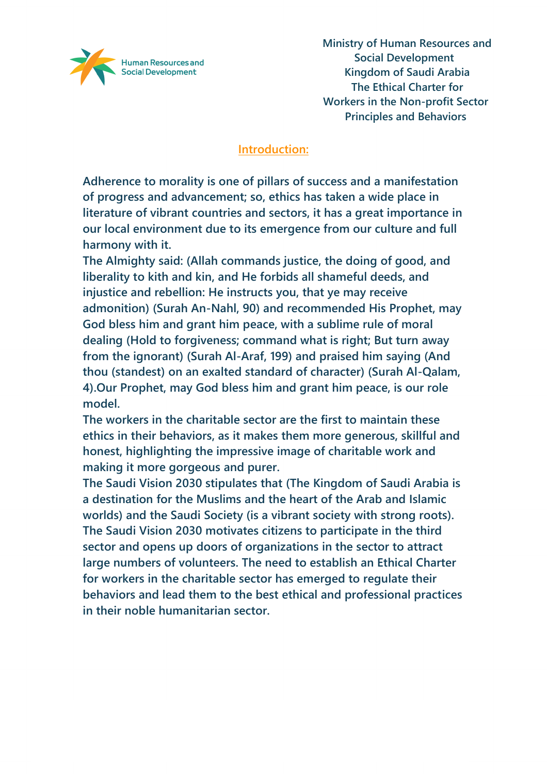

#### **Introduction:**

**Adherence to morality is one of pillars of success and a manifestation of progress and advancement; so, ethics has taken a wide place in literature of vibrant countries and sectors, it has a great importance in our local environment due to its emergence from our culture and full harmony with it.**

**The Almighty said: (Allah commands justice, the doing of good, and liberality to kith and kin, and He forbids all shameful deeds, and injustice and rebellion: He instructs you, that ye may receive admonition) (Surah An-Nahl, 90) and recommended His Prophet, may God bless him and grant him peace, with a sublime rule of moral dealing (Hold to forgiveness; command what is right; But turn away from the ignorant) (Surah Al-Araf, 199) and praised him saying (And thou (standest) on an exalted standard of character) (Surah Al-Qalam, 4).Our Prophet, may God bless him and grant him peace, is our role model.**

**The workers in the charitable sector are the first to maintain these ethics in their behaviors, as it makes them more generous, skillful and honest, highlighting the impressive image of charitable work and making it more gorgeous and purer.**

**The Saudi Vision 2030 stipulates that (The Kingdom of Saudi Arabia is a destination for the Muslims and the heart of the Arab and Islamic worlds) and the Saudi Society (is a vibrant society with strong roots). The Saudi Vision 2030 motivates citizens to participate in the third sector and opens up doors of organizations in the sector to attract large numbers of volunteers. The need to establish an Ethical Charter for workers in the charitable sector has emerged to regulate their behaviors and lead them to the best ethical and professional practices in their noble humanitarian sector.**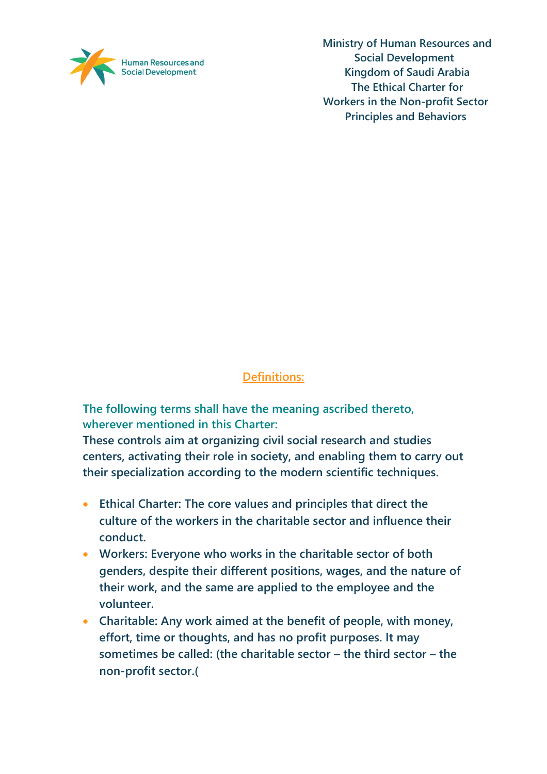

# **Definitions:**

**The following terms shall have the meaning ascribed thereto, wherever mentioned in this Charter:** 

**These controls aim at organizing civil social research and studies centers, activating their role in society, and enabling them to carry out their specialization according to the modern scientific techniques.**

- **Ethical Charter: The core values and principles that direct the culture of the workers in the charitable sector and influence their conduct.**
- **Workers: Everyone who works in the charitable sector of both genders, despite their different positions, wages, and the nature of their work, and the same are applied to the employee and the volunteer.**
- **Charitable: Any work aimed at the benefit of people, with money, effort, time or thoughts, and has no profit purposes. It may sometimes be called: (the charitable sector – the third sector – the non-profit sector.)**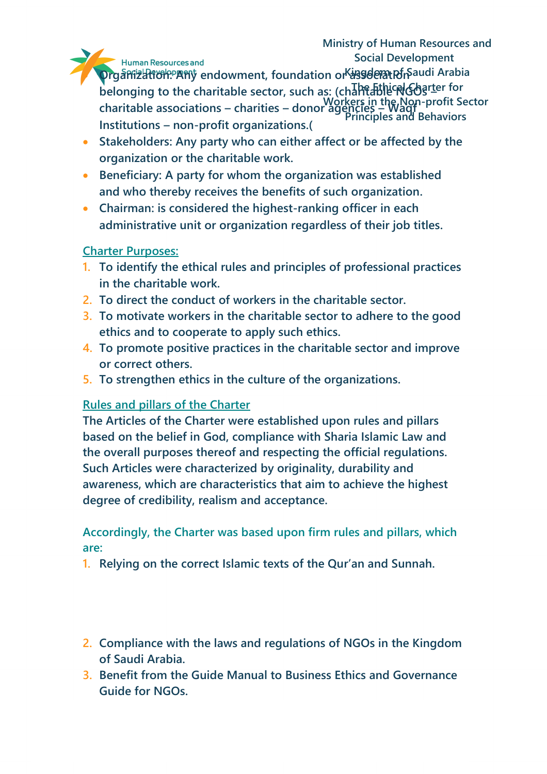### **Ministry of Human Resources and Social Development**

Human Resources and

**Organization: Any endowment, foundation or suggedem to avail Arabia belonging to the charitable sector, such as: (charitable NGOs <b>Let** for **Workers in the Non-profit Sector Principles and Behaviors 1439 H. – 2018 charitable associations – charities – donor agencies – Waqf Institutions – non-profit organizations.)**

- **Stakeholders: Any party who can either affect or be affected by the organization or the charitable work.**
- **Beneficiary: A party for whom the organization was established and who thereby receives the benefits of such organization.**
- **Chairman: is considered the highest-ranking officer in each administrative unit or organization regardless of their job titles.**

# **Charter Purposes:**

- **1. To identify the ethical rules and principles of professional practices in the charitable work.**
- **2. To direct the conduct of workers in the charitable sector.**
- **3. To motivate workers in the charitable sector to adhere to the good ethics and to cooperate to apply such ethics.**
- **4. To promote positive practices in the charitable sector and improve or correct others.**
- **5. To strengthen ethics in the culture of the organizations.**

# **Rules and pillars of the Charter**

**The Articles of the Charter were established upon rules and pillars based on the belief in God, compliance with Sharia Islamic Law and the overall purposes thereof and respecting the official regulations. Such Articles were characterized by originality, durability and awareness, which are characteristics that aim to achieve the highest degree of credibility, realism and acceptance.** 

# **Accordingly, the Charter was based upon firm rules and pillars, which are:**

- **1. Relying on the correct Islamic texts of the Qur'an and Sunnah.**
- **2. Compliance with the laws and regulations of NGOs in the Kingdom of Saudi Arabia.**
- **3. Benefit from the Guide Manual to Business Ethics and Governance Guide for NGOs.**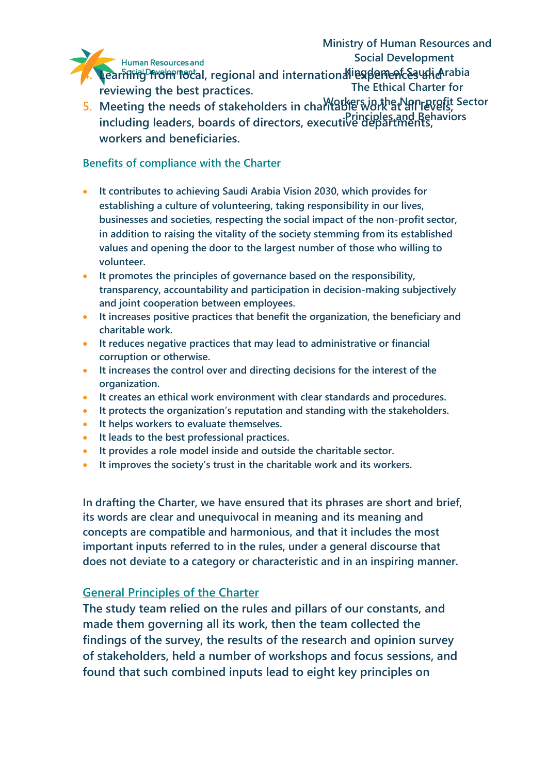

**4. Learning from local, regional and international experiences what abia The Ethical Charter for reviewing the best practices.** 

5. Meeting the needs of stakeholders in chariable work at all levels, Sector **Principles and Behaviors 1439 H. – 2018 including leaders, boards of directors, executive departments, workers and beneficiaries.** 

#### **Benefits of compliance with the Charter**

- **It contributes to achieving Saudi Arabia Vision 2030, which provides for establishing a culture of volunteering, taking responsibility in our lives, businesses and societies, respecting the social impact of the non-profit sector, in addition to raising the vitality of the society stemming from its established values and opening the door to the largest number of those who willing to volunteer.**
- **It promotes the principles of governance based on the responsibility, transparency, accountability and participation in decision-making subjectively and joint cooperation between employees.**
- **It increases positive practices that benefit the organization, the beneficiary and charitable work.**
- **It reduces negative practices that may lead to administrative or financial corruption or otherwise.**
- **It increases the control over and directing decisions for the interest of the organization.**
- **It creates an ethical work environment with clear standards and procedures.**
- **It protects the organization's reputation and standing with the stakeholders.**
- **It helps workers to evaluate themselves.**
- **It leads to the best professional practices.**
- **It provides a role model inside and outside the charitable sector.**
- **It improves the society's trust in the charitable work and its workers.**

**In drafting the Charter, we have ensured that its phrases are short and brief, its words are clear and unequivocal in meaning and its meaning and concepts are compatible and harmonious, and that it includes the most important inputs referred to in the rules, under a general discourse that does not deviate to a category or characteristic and in an inspiring manner.** 

### **General Principles of the Charter**

**The study team relied on the rules and pillars of our constants, and made them governing all its work, then the team collected the findings of the survey, the results of the research and opinion survey of stakeholders, held a number of workshops and focus sessions, and found that such combined inputs lead to eight key principles on**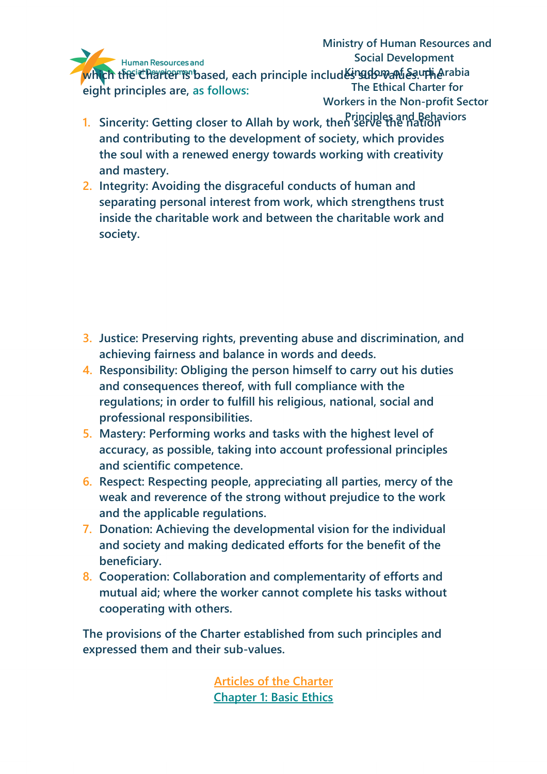**Ministry of Human Resources and Social Development** 

which the Charter is based, each principle includ<del>Kingdo wand &s</del> upherabia **The Ethical Charter for Workers in the Non-profit Sector eight principles are, as follows:**

- **Principles and Behaviors 1. Sincerity: Getting closer to Allah by work, then serve the nation 1439 H. – 2018 and contributing to the development of society, which provides the soul with a renewed energy towards working with creativity and mastery.**
- **2. Integrity: Avoiding the disgraceful conducts of human and separating personal interest from work, which strengthens trust inside the charitable work and between the charitable work and society.**

- **3. Justice: Preserving rights, preventing abuse and discrimination, and achieving fairness and balance in words and deeds.**
- **4. Responsibility: Obliging the person himself to carry out his duties and consequences thereof, with full compliance with the regulations; in order to fulfill his religious, national, social and professional responsibilities.**
- **5. Mastery: Performing works and tasks with the highest level of accuracy, as possible, taking into account professional principles and scientific competence.**
- **6. Respect: Respecting people, appreciating all parties, mercy of the weak and reverence of the strong without prejudice to the work and the applicable regulations.**
- **7. Donation: Achieving the developmental vision for the individual and society and making dedicated efforts for the benefit of the beneficiary.**
- **8. Cooperation: Collaboration and complementarity of efforts and mutual aid; where the worker cannot complete his tasks without cooperating with others.**

**The provisions of the Charter established from such principles and expressed them and their sub-values.**

> **Articles of the Charter Chapter 1: Basic Ethics**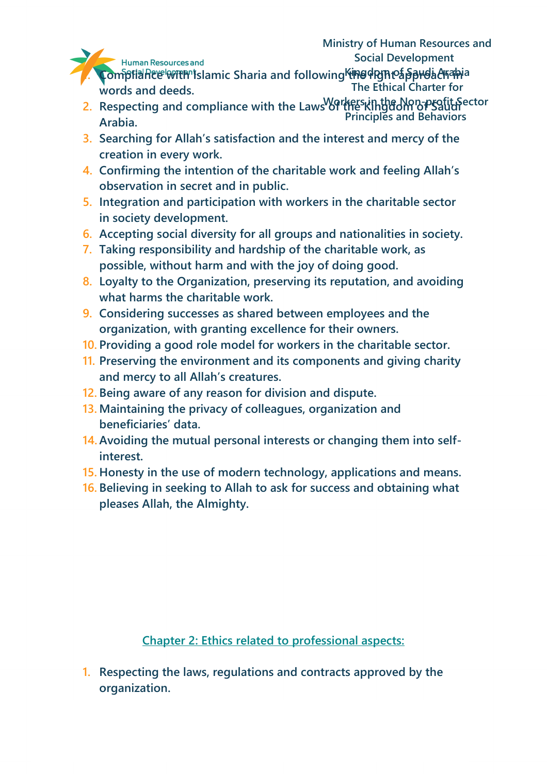- **1. Compliance with Islamic Sharia and following the right of puda example and following the right approach in The Ethical Charter for words and deeds.**
- **Workers in the Non-profit Sector Principles and Behaviors** 2. Respecting and compliance with the Laws of the Kingdom of Saudi **Arabia.**
- **1444 1448 1448 1448 1448 1448 1448 1448 1448 1448 1448 1449 1449 1449 1449 1449 1449 1449 1449 1449 1449 1449 1449 1449 1449 1449 1449 1449 1449 1449 1449 1449 creation in every work.**
- **4. Confirming the intention of the charitable work and feeling Allah's observation in secret and in public.**
- **5. Integration and participation with workers in the charitable sector in society development.**
- **6. Accepting social diversity for all groups and nationalities in society.**
- **7. Taking responsibility and hardship of the charitable work, as possible, without harm and with the joy of doing good.**
- **8. Loyalty to the Organization, preserving its reputation, and avoiding what harms the charitable work.**
- **9. Considering successes as shared between employees and the organization, with granting excellence for their owners.**
- **10. Providing a good role model for workers in the charitable sector.**
- **11. Preserving the environment and its components and giving charity and mercy to all Allah's creatures.**
- **12. Being aware of any reason for division and dispute.**
- **13. Maintaining the privacy of colleagues, organization and beneficiaries' data.**
- **14.Avoiding the mutual personal interests or changing them into selfinterest.**
- **15. Honesty in the use of modern technology, applications and means.**
- **16. Believing in seeking to Allah to ask for success and obtaining what pleases Allah, the Almighty.**

**Chapter 2: Ethics related to professional aspects:**

**1. Respecting the laws, regulations and contracts approved by the organization.**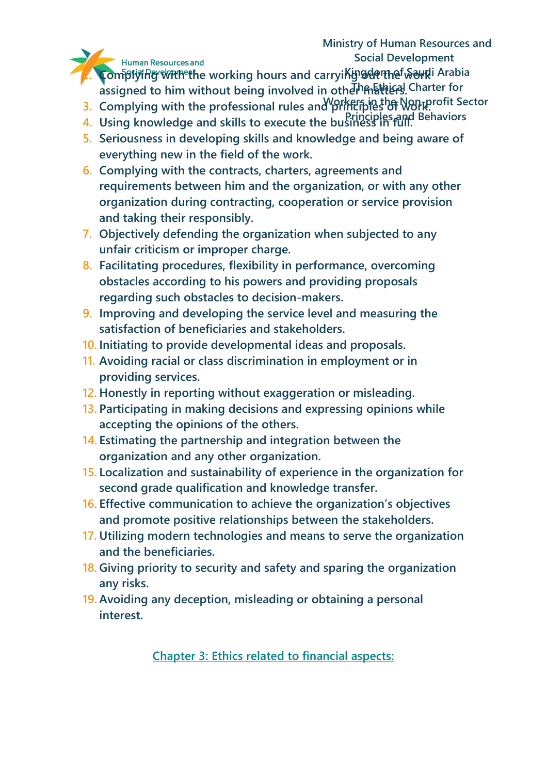### **Ministry of Human Resources and Social Development**

Human Resources and

**2. ComplyIng with the working hours and carryiking detitional Arabia** assigned to him without being involved in othe<sup>Th</sup> क्रिसिंधन्ये Charter for

- **3. Complying with the professional rules and principles of Work.**
- **Principles and Behaviors 4. Using knowledge and skills to execute the business in full.**
- **1439 EVINGS 1449 HOMES IN 2018 CONSIDER AND THE CONSIDERED AS <b>A LIGACY 5.** Seriousness in developing skills and knowledge and being aware of **everything new in the field of the work.**
- **6. Complying with the contracts, charters, agreements and requirements between him and the organization, or with any other organization during contracting, cooperation or service provision and taking their responsibly.**
- **7. Objectively defending the organization when subjected to any unfair criticism or improper charge.**
- **8. Facilitating procedures, flexibility in performance, overcoming obstacles according to his powers and providing proposals regarding such obstacles to decision-makers.**
- **9. Improving and developing the service level and measuring the satisfaction of beneficiaries and stakeholders.**
- **10. Initiating to provide developmental ideas and proposals.**
- **11. Avoiding racial or class discrimination in employment or in providing services.**
- **12. Honestly in reporting without exaggeration or misleading.**
- **13. Participating in making decisions and expressing opinions while accepting the opinions of the others.**
- **14. Estimating the partnership and integration between the organization and any other organization.**
- **15. Localization and sustainability of experience in the organization for second grade qualification and knowledge transfer.**
- **16. Effective communication to achieve the organization's objectives and promote positive relationships between the stakeholders.**
- **17. Utilizing modern technologies and means to serve the organization and the beneficiaries.**
- **18. Giving priority to security and safety and sparing the organization any risks.**
- **19. Avoiding any deception, misleading or obtaining a personal interest.**

**Chapter 3: Ethics related to financial aspects:**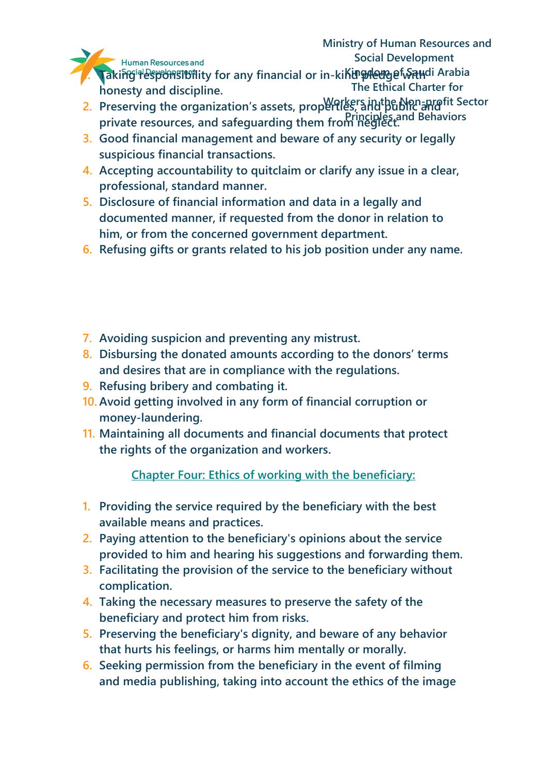

**1. Taking algorithm of the Sydner of Saudi Arabia The Ethical Charter for honesty and discipline.**

- 2. Preserving the organization's assets, properties, and public and it Sector **Principles and Behaviors private resources, and safeguarding them from neglect.**
- **1439 H. – 2018 3. Good financial management and beware of any security or legally suspicious financial transactions.**
- **4. Accepting accountability to quitclaim or clarify any issue in a clear, professional, standard manner.**
- **5. Disclosure of financial information and data in a legally and documented manner, if requested from the donor in relation to him, or from the concerned government department.**
- **6. Refusing gifts or grants related to his job position under any name.**
- **7. Avoiding suspicion and preventing any mistrust.**
- **8. Disbursing the donated amounts according to the donors' terms and desires that are in compliance with the regulations.**
- **9. Refusing bribery and combating it.**
- **10. Avoid getting involved in any form of financial corruption or money-laundering.**
- **11. Maintaining all documents and financial documents that protect the rights of the organization and workers.**

**Chapter Four: Ethics of working with the beneficiary:**

- **1. Providing the service required by the beneficiary with the best available means and practices.**
- **2. Paying attention to the beneficiary's opinions about the service provided to him and hearing his suggestions and forwarding them.**
- **3. Facilitating the provision of the service to the beneficiary without complication.**
- **4. Taking the necessary measures to preserve the safety of the beneficiary and protect him from risks.**
- **5. Preserving the beneficiary's dignity, and beware of any behavior that hurts his feelings, or harms him mentally or morally.**
- **6. Seeking permission from the beneficiary in the event of filming and media publishing, taking into account the ethics of the image**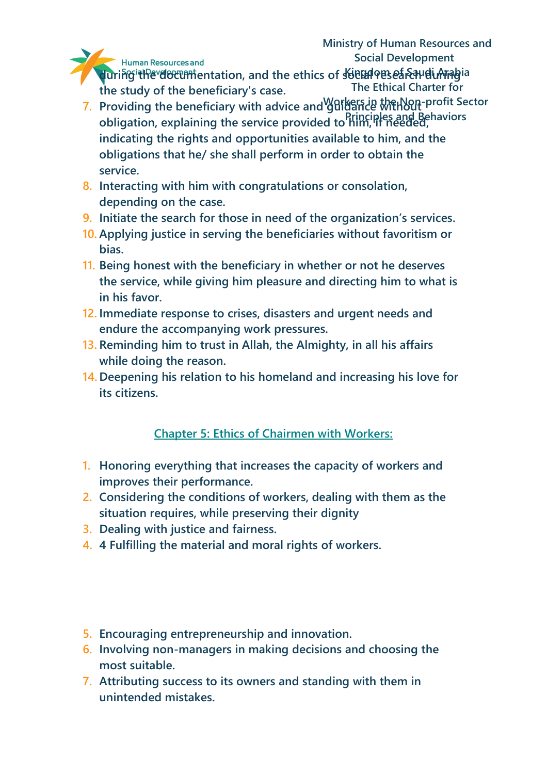during the documentation, and the ethics of **social research during** ia **The Ethical Charter for the study of the beneficiary's case.**

- 7. Providing the beneficiary with advice and guidance with Out-profit Sector **Principles and Behaviors obligation, explaining the service provided to him, if needed, 1439 health and State Lawrend Communities** available to him, and the indicating the rights and opportunities available to him, and the **obligations that he/ she shall perform in order to obtain the service.**
- **8. Interacting with him with congratulations or consolation, depending on the case.**
- **9. Initiate the search for those in need of the organization's services.**
- **10. Applying justice in serving the beneficiaries without favoritism or bias.**
- **11. Being honest with the beneficiary in whether or not he deserves the service, while giving him pleasure and directing him to what is in his favor.**
- **12. Immediate response to crises, disasters and urgent needs and endure the accompanying work pressures.**
- **13. Reminding him to trust in Allah, the Almighty, in all his affairs while doing the reason.**
- **14. Deepening his relation to his homeland and increasing his love for its citizens.**

# **Chapter 5: Ethics of Chairmen with Workers:**

- **1. Honoring everything that increases the capacity of workers and improves their performance.**
- **2. Considering the conditions of workers, dealing with them as the situation requires, while preserving their dignity**
- **3. Dealing with justice and fairness.**
- **4. 4 Fulfilling the material and moral rights of workers.**
- **5. Encouraging entrepreneurship and innovation.**
- **6. Involving non-managers in making decisions and choosing the most suitable.**
- **7. Attributing success to its owners and standing with them in unintended mistakes.**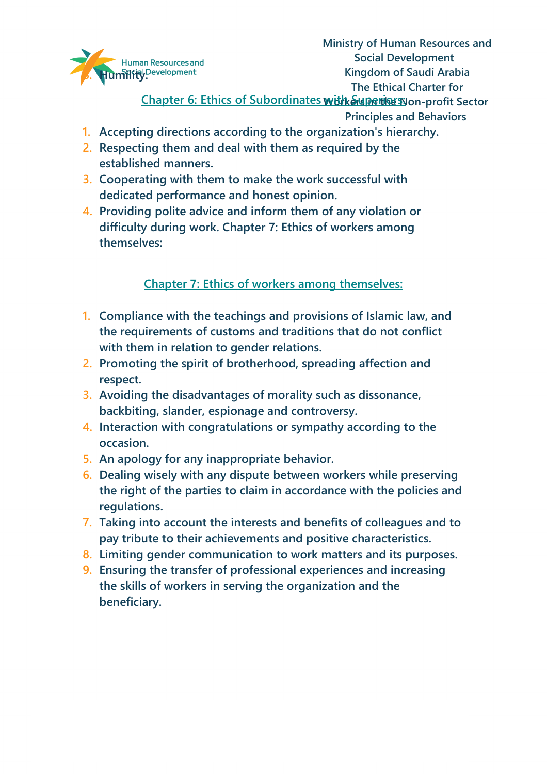

**Ministry of Human Resources and Social Development Kingdom of Saudi Arabia The Ethical Charter for**

<u>Chapter 6: Ethics of Subordinates **with Superiors: Sp**on-profit Sector </u>

**Principles and Behaviors**

- **1.** Accepting directions according to the organization's hierarchy.
- **2. Respecting them and deal with them as required by the established manners.**
- **3. Cooperating with them to make the work successful with dedicated performance and honest opinion.**
- **4. Providing polite advice and inform them of any violation or difficulty during work. Chapter 7: Ethics of workers among themselves:**

**Chapter 7: Ethics of workers among themselves:**

- **1. Compliance with the teachings and provisions of Islamic law, and the requirements of customs and traditions that do not conflict with them in relation to gender relations.**
- **2. Promoting the spirit of brotherhood, spreading affection and respect.**
- **3. Avoiding the disadvantages of morality such as dissonance, backbiting, slander, espionage and controversy.**
- **4. Interaction with congratulations or sympathy according to the occasion.**
- **5. An apology for any inappropriate behavior.**
- **6. Dealing wisely with any dispute between workers while preserving the right of the parties to claim in accordance with the policies and regulations.**
- **7. Taking into account the interests and benefits of colleagues and to pay tribute to their achievements and positive characteristics.**
- **8. Limiting gender communication to work matters and its purposes.**
- **9. Ensuring the transfer of professional experiences and increasing the skills of workers in serving the organization and the beneficiary.**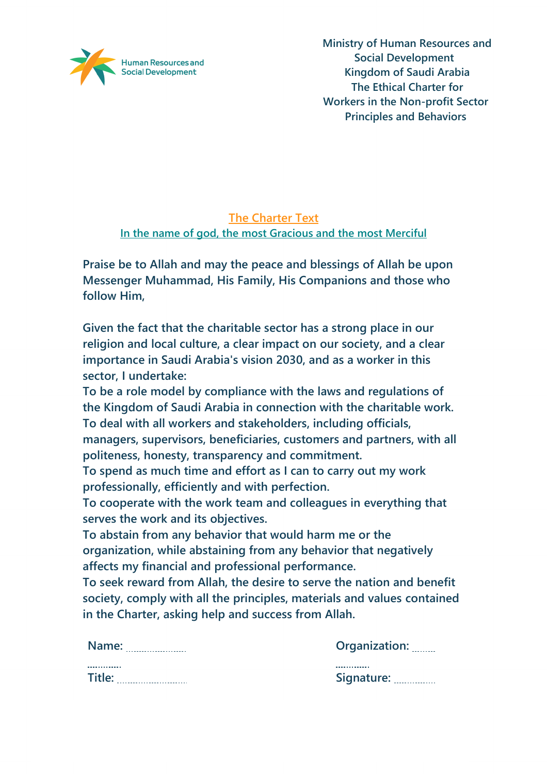

## **The Charter Text In the name of god, the most Gracious and the most Merciful**

**Praise be to Allah and may the peace and blessings of Allah be upon Messenger Muhammad, His Family, His Companions and those who follow Him,** 

**Given the fact that the charitable sector has a strong place in our religion and local culture, a clear impact on our society, and a clear importance in Saudi Arabia's vision 2030, and as a worker in this sector, I undertake:** 

**To be a role model by compliance with the laws and regulations of the Kingdom of Saudi Arabia in connection with the charitable work. To deal with all workers and stakeholders, including officials, managers, supervisors, beneficiaries, customers and partners, with all politeness, honesty, transparency and commitment.** 

**To spend as much time and effort as I can to carry out my work professionally, efficiently and with perfection.** 

**To cooperate with the work team and colleagues in everything that serves the work and its objectives.** 

**To abstain from any behavior that would harm me or the organization, while abstaining from any behavior that negatively affects my financial and professional performance.** 

**To seek reward from Allah, the desire to serve the nation and benefit society, comply with all the principles, materials and values contained in the Charter, asking help and success from Allah.**

| Name:  | Organization:            |  |
|--------|--------------------------|--|
|        |                          |  |
| Title: | Signature: <b>Willem</b> |  |

| Organization: |  |
|---------------|--|
| Signature:    |  |